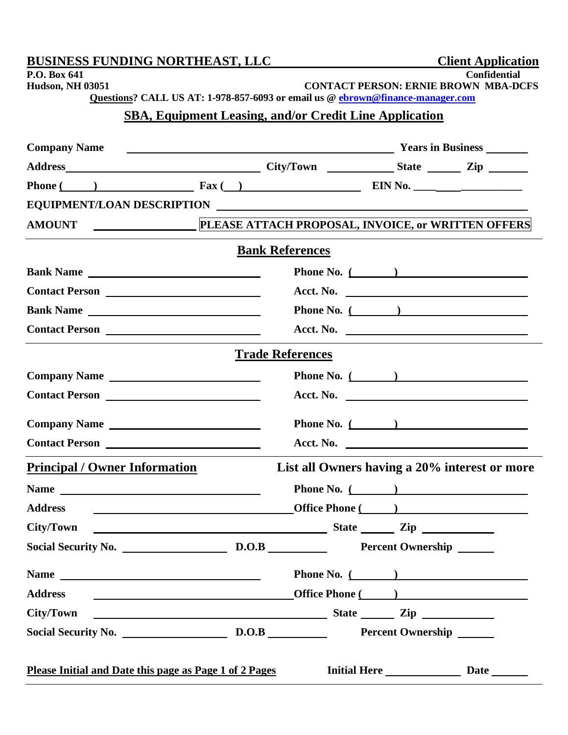| <b>BUSINESS FUNDING NORTHEAST, LLC</b>                                                                                                                                                                                                                                                                                                 |                                                                                                                                                                                                                                      |                                                                    | <b>Client Application</b>                     |
|----------------------------------------------------------------------------------------------------------------------------------------------------------------------------------------------------------------------------------------------------------------------------------------------------------------------------------------|--------------------------------------------------------------------------------------------------------------------------------------------------------------------------------------------------------------------------------------|--------------------------------------------------------------------|-----------------------------------------------|
| P.O. Box 641<br><b>Hudson, NH 03051</b>                                                                                                                                                                                                                                                                                                |                                                                                                                                                                                                                                      | <b>Confidential</b><br><b>CONTACT PERSON: ERNIE BROWN MBA-DCFS</b> |                                               |
| Questions? CALL US AT: 1-978-857-6093 or email us @ ebrown@finance-manager.com                                                                                                                                                                                                                                                         |                                                                                                                                                                                                                                      |                                                                    |                                               |
|                                                                                                                                                                                                                                                                                                                                        | <b>SBA, Equipment Leasing, and/or Credit Line Application</b>                                                                                                                                                                        |                                                                    |                                               |
|                                                                                                                                                                                                                                                                                                                                        |                                                                                                                                                                                                                                      |                                                                    |                                               |
| <b>Company Name</b>                                                                                                                                                                                                                                                                                                                    | <b>The Community of Seconds and Seconds and Seconds and Seconds and Seconds and Seconds and Seconds and Seconds and Seconds and Seconds and Seconds and Seconds and Seconds and Seconds and Seconds and Seconds and Seconds and </b> |                                                                    |                                               |
|                                                                                                                                                                                                                                                                                                                                        |                                                                                                                                                                                                                                      |                                                                    |                                               |
| Phone $($ $)$ $\qquad \qquad$ $\qquad$ $\qquad$ $\qquad$ $\qquad$ $\qquad$ $\qquad$ $\qquad$ $\qquad$ $\qquad$ $\qquad$ $\qquad$ $\qquad$ $\qquad$ $\qquad$ $\qquad$ $\qquad$ $\qquad$ $\qquad$ $\qquad$ $\qquad$ $\qquad$ $\qquad$ $\qquad$ $\qquad$ $\qquad$ $\qquad$ $\qquad$ $\qquad$ $\qquad$ $\qquad$ $\qquad$ $\qquad$ $\qquad$ |                                                                                                                                                                                                                                      |                                                                    |                                               |
| EQUIPMENT/LOAN DESCRIPTION                                                                                                                                                                                                                                                                                                             |                                                                                                                                                                                                                                      |                                                                    |                                               |
| AMOUNT                                                                                                                                                                                                                                                                                                                                 | PLEASE ATTACH PROPOSAL, INVOICE, or WRITTEN OFFERS                                                                                                                                                                                   |                                                                    |                                               |
|                                                                                                                                                                                                                                                                                                                                        | <b>Bank References</b>                                                                                                                                                                                                               |                                                                    |                                               |
| Bank Name                                                                                                                                                                                                                                                                                                                              |                                                                                                                                                                                                                                      | Phone No. $($                                                      |                                               |
| Contact Person                                                                                                                                                                                                                                                                                                                         |                                                                                                                                                                                                                                      | Acct. No.                                                          |                                               |
| Bank Name                                                                                                                                                                                                                                                                                                                              |                                                                                                                                                                                                                                      | Phone No. $($                                                      |                                               |
|                                                                                                                                                                                                                                                                                                                                        |                                                                                                                                                                                                                                      | Acct. No.                                                          |                                               |
|                                                                                                                                                                                                                                                                                                                                        | <b>Trade References</b>                                                                                                                                                                                                              |                                                                    |                                               |
| Company Name                                                                                                                                                                                                                                                                                                                           |                                                                                                                                                                                                                                      | Phone No. $($                                                      |                                               |
|                                                                                                                                                                                                                                                                                                                                        |                                                                                                                                                                                                                                      |                                                                    |                                               |
| Company Name                                                                                                                                                                                                                                                                                                                           |                                                                                                                                                                                                                                      | Phone No. $($                                                      |                                               |
|                                                                                                                                                                                                                                                                                                                                        |                                                                                                                                                                                                                                      | Acct. No. $\qquad \qquad$                                          |                                               |
| <b>Principal / Owner Information</b>                                                                                                                                                                                                                                                                                                   |                                                                                                                                                                                                                                      |                                                                    | List all Owners having a 20% interest or more |
|                                                                                                                                                                                                                                                                                                                                        |                                                                                                                                                                                                                                      | Phone No. $($                                                      |                                               |
| <b>Office Phone</b> ( and )<br><b>Address</b>                                                                                                                                                                                                                                                                                          |                                                                                                                                                                                                                                      |                                                                    |                                               |
| <b>City/Town</b>                                                                                                                                                                                                                                                                                                                       |                                                                                                                                                                                                                                      |                                                                    |                                               |
|                                                                                                                                                                                                                                                                                                                                        |                                                                                                                                                                                                                                      |                                                                    |                                               |
|                                                                                                                                                                                                                                                                                                                                        |                                                                                                                                                                                                                                      | <b>Phone No.</b> $($                                               |                                               |
| Office Phone (and a set of the Phone Contract of the Phone Contract of the Phone Contract of the Phone Contract of the Phone Contract of the Phone Contract of the Phone Contract of the Phone Contract of the Phone Contract<br><b>Address</b>                                                                                        |                                                                                                                                                                                                                                      |                                                                    |                                               |
| <u>State</u> Zip <u>Zip</u><br>City/Town                                                                                                                                                                                                                                                                                               |                                                                                                                                                                                                                                      |                                                                    |                                               |
|                                                                                                                                                                                                                                                                                                                                        |                                                                                                                                                                                                                                      |                                                                    |                                               |
|                                                                                                                                                                                                                                                                                                                                        |                                                                                                                                                                                                                                      |                                                                    |                                               |
| Please Initial and Date this page as Page 1 of 2 Pages                                                                                                                                                                                                                                                                                 |                                                                                                                                                                                                                                      | <b>Initial Here</b>                                                | <b>Date</b>                                   |